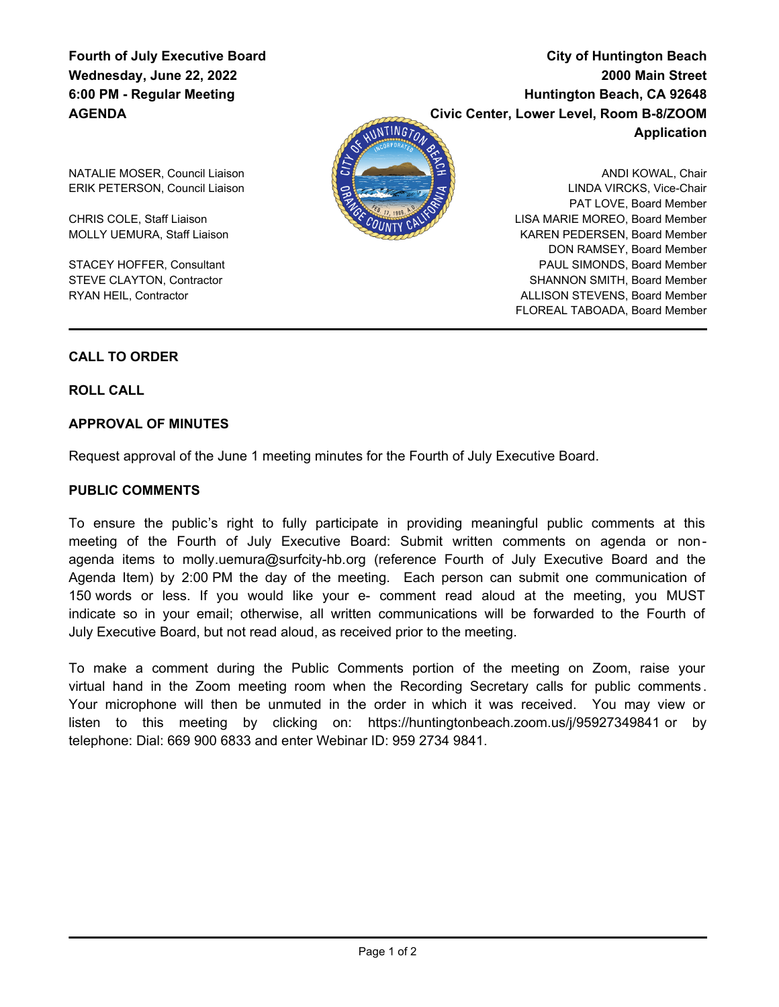# **Fourth of July Executive Board Wednesday, June 22, 2022 6:00 PM - Regular Meeting AGENDA**

**City of Huntington Beach 2000 Main Street Huntington Beach, CA 92648 Civic Center, Lower Level, Room B-8/ZOOM Application**



ANDI KOWAL, Chair LINDA VIRCKS, Vice-Chair PAT LOVE, Board Member LISA MARIE MOREO, Board Member KAREN PEDERSEN, Board Member DON RAMSEY, Board Member PAUL SIMONDS, Board Member SHANNON SMITH, Board Member ALLISON STEVENS, Board Member FLOREAL TABOADA, Board Member

NATALIE MOSER, Council Liaison ERIK PETERSON, Council Liaison

CHRIS COLE, Staff Liaison MOLLY UEMURA, Staff Liaison

STACEY HOFFER, Consultant STEVE CLAYTON, Contractor RYAN HEIL, Contractor

# **CALL TO ORDER**

**ROLL CALL**

# **APPROVAL OF MINUTES**

Request approval of the June 1 meeting minutes for the Fourth of July Executive Board.

### **PUBLIC COMMENTS**

To ensure the public's right to fully participate in providing meaningful public comments at this meeting of the Fourth of July Executive Board: Submit written comments on agenda or nonagenda items to molly.uemura@surfcity-hb.org (reference Fourth of July Executive Board and the Agenda Item) by 2:00 PM the day of the meeting. Each person can submit one communication of 150 words or less. If you would like your e- comment read aloud at the meeting, you MUST indicate so in your email; otherwise, all written communications will be forwarded to the Fourth of July Executive Board, but not read aloud, as received prior to the meeting.

To make a comment during the Public Comments portion of the meeting on Zoom, raise your virtual hand in the Zoom meeting room when the Recording Secretary calls for public comments . Your microphone will then be unmuted in the order in which it was received. You may view or listen to this meeting by clicking on: https://huntingtonbeach.zoom.us/j/95927349841 or by telephone: Dial: 669 900 6833 and enter Webinar ID: 959 2734 9841.